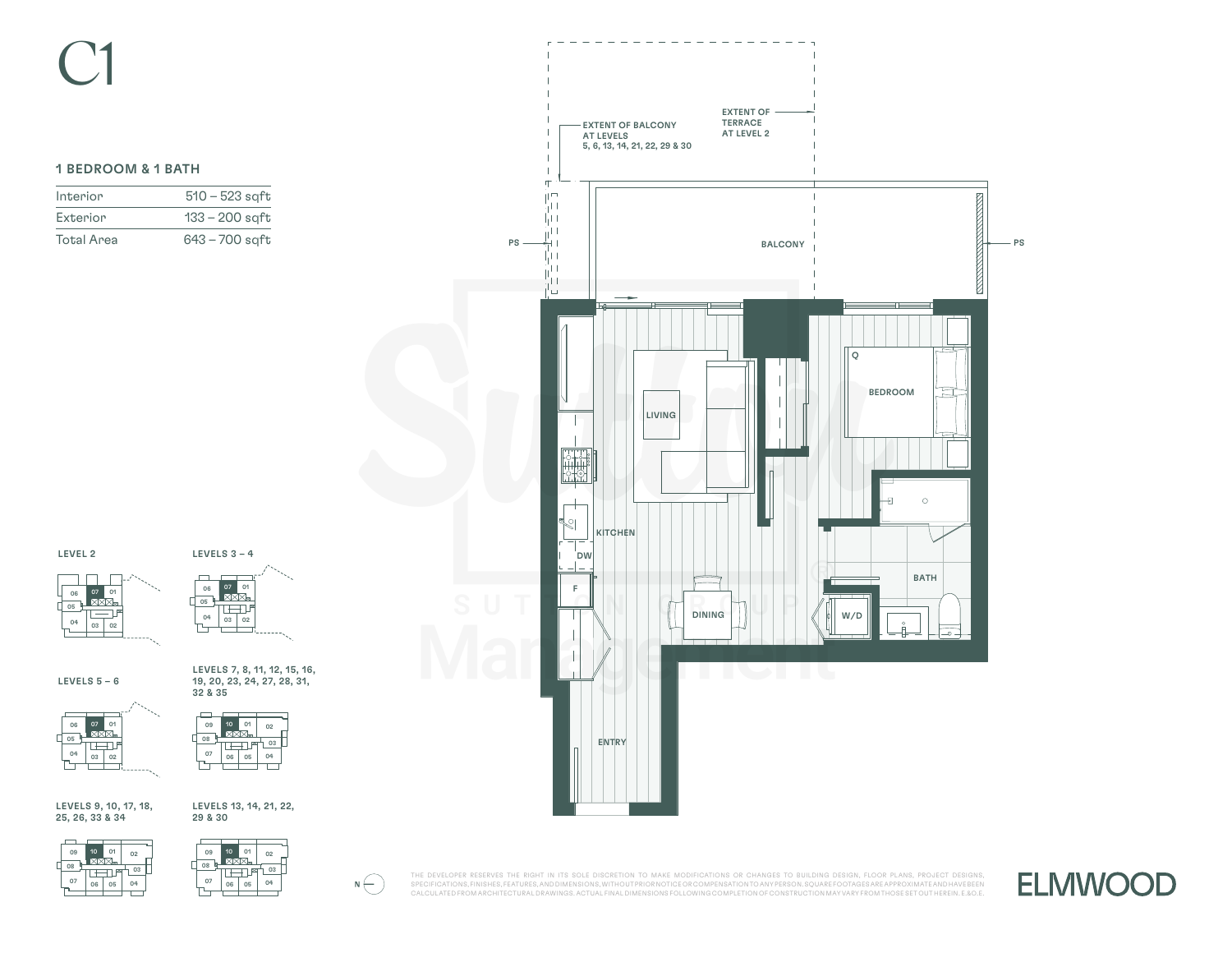# 1 BEDROOM & 1 BATH

| Interior          | $510 - 523$ sqft |
|-------------------|------------------|
| Exterior          | $133 - 200$ saft |
| <b>Total Area</b> | $643 - 700$ sqft |







LEVELS 7, 8, 11, 12, 15, 16, 19, 20, 23, 24, 27, 28, 31,

LEVELS  $5 - 6$ 

06 07 01<br>XXX  $\sqrt{05}$ \*لطا ا  $04$  03 02



LEVELS 9, 10, 17, 18, 25, 26, 33 & 34

LEVELS 13, 14, 21, 22, 29 & 30





 $\setlength{\unitlength}{.05cm} \begin{picture}(20,5) \label{picc} \put(0,0){\dashbox{0.5}(5,0){ }} \thicklines \put(15,0){\dashbox{0.5}(5,0){ }} \thicklines \put(15,0){\dashbox{0.5}(5,0){ }} \thicklines \put(15,0){\dashbox{0.5}(5,0){ }} \thicklines \put(15,0){\dashbox{0.5}(5,0){ }} \thicklines \put(15,0){\dashbox{0.5}(5,0){ }} \thicklines \put(15,0){\dashbox{0.5}(5,0){ }} \thicklines \put(15,0){\dashbox{0.5}(5,$ THE DEVELOPER RESERVES THE RIGHT IN ITS SOLE DISCRETION TO MAKE MODIFICATIONS OR CHANGES TO BUILDING DESIGN, FLOOR PLANS, PROJECT DESIGNS, SPECIFICATIONS, FINISHES, FEATURES, AND DIMENSIONS, WITHOUT PRIOR NOTICE OR COMPENSATION TO ANY PERSON. SQUARE FOOTAGES ARE APPROXIMATE AND HAVE BEEN CALCULATED FROM ARCHITECTURAL DRAWINGS. ACTUAL FINAL DIMENSIONS FOLLOWING COMPLETION OF CONSTRUCTION MAY VARY FROM THOSE SET OUT HEREIN. E.&O.E.



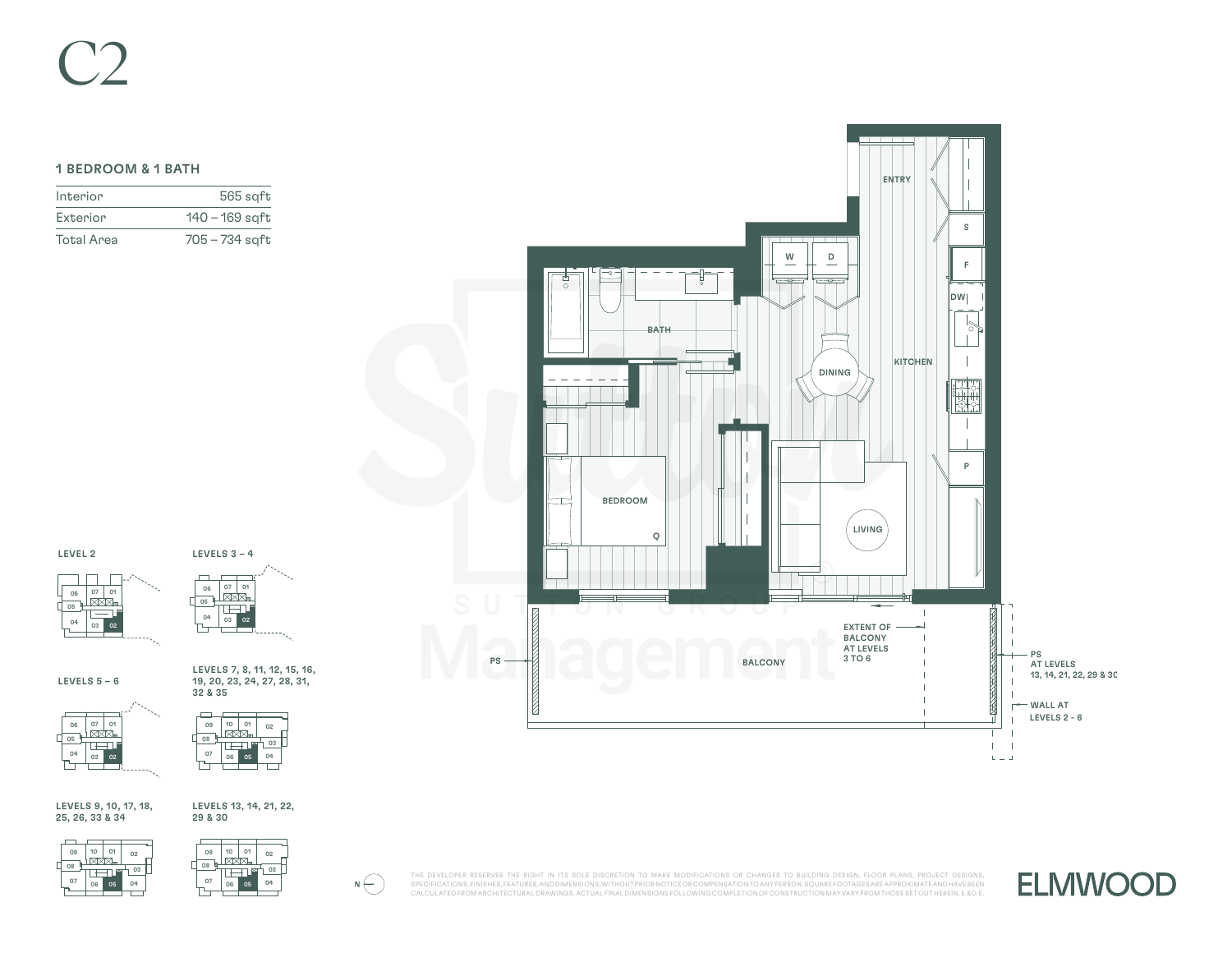# C2

# 1 BEDROOM & 1 BATH

| Interior          | $565$ sqft     |
|-------------------|----------------|
| Exterior          | 140 – 169 sqft |
| <b>Total Area</b> | 705 – 734 sgft |



## LEVEL 2





LEVELS  $5 - 6$ 

06 07 01 05 تنصر  $04$  03  $\overline{0}$ 



LEVELS 7, 8, 11, 12, 15, 16, 19, 20, 23, 24, 27, 28, 31,

LEVELS 9, 10, 17, 18, 25, 26, 33 & 34

### LEVELS 13, 14, 21, 22, 29 & 30





 $\setlength{\unitlength}{.05cm} \begin{picture}(20,5) \label{picc} \put(0,0){\dashbox{0.5}(5,0){ }} \thicklines \put(15,0){\dashbox{0.5}(5,0){ }} \thicklines \put(15,0){\dashbox{0.5}(5,0){ }} \thicklines \put(15,0){\dashbox{0.5}(5,0){ }} \thicklines \put(15,0){\dashbox{0.5}(5,0){ }} \thicklines \put(15,0){\dashbox{0.5}(5,0){ }} \thicklines \put(15,0){\dashbox{0.5}(5,0){ }} \thicklines \put(15,0){\dashbox{0.5}(5,$ THE DEVELOPER RESERVES THE RIGHT IN ITS SOLE DISCRETION TO MAKE MODIFICATIONS OR CHANGES TO BUILDING DESIGN, FLOOR PLANS, PROJECT DESIGNS, SPECIFICATIONS, FINISHES, FEATURES, AND DIMENSIONS, WITHOUT PRIOR NOTICE OR COMPENSATION TO ANY PERSON. SQUARE FOOTAGES ARE APPROXIMATE AND HAVE BEEN CALCULATED FROM ARCHITECTURAL DRAWINGS. ACTUAL FINAL DIMENSIONS FOLLOWING COMPLETION OF CONSTRUCTION MAY VARY FROM THOSE SET OUT HEREIN. E.&O.E.